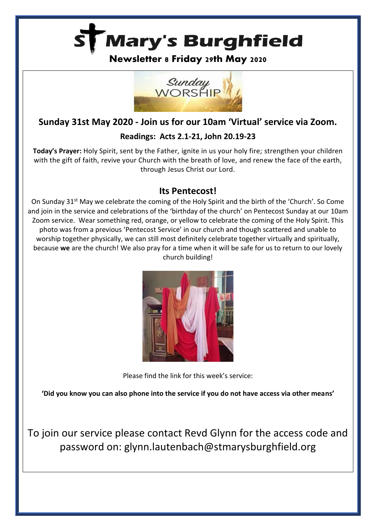

**Newsletter 8 Friday 29th May 2020**



# **Sunday 31st May 2020 - Join us for our 10am 'Virtual' service via Zoom.**

## **Readings: Acts 2.1-21, John 20.19-23**

**Today's Prayer:** Holy Spirit, sent by the Father, ignite in us your holy fire; strengthen your children with the gift of faith, revive your Church with the breath of love, and renew the face of the earth, through Jesus Christ our Lord.

## **Its Pentecost!**

On Sunday 31<sup>st</sup> May we celebrate the coming of the Holy Spirit and the birth of the 'Church'. So Come and join in the service and celebrations of the 'birthday of the church' on Pentecost Sunday at our 10am Zoom service. Wear something red, orange, or yellow to celebrate the coming of the Holy Spirit. This photo was from a previous 'Pentecost Service' in our church and though scattered and unable to worship together physically, we can still most definitely celebrate together virtually and spiritually, because **we** are the church! We also pray for a time when it will be safe for us to return to our lovely church building!



Please find the link for this week's service:

**'Did you know you can also phone into the service if you do not have access via other means'**

To join our service please contact Revd Glynn for the access code and password on: glynn.lautenbach@stmarysburghfield.org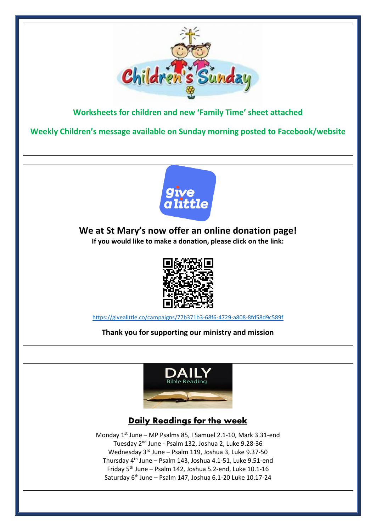

**Worksheets for children and new 'Family Time' sheet attached**

**Weekly Children's message available on Sunday morning posted to Facebook/website**



**We at St Mary's now offer an online donation page! If you would like to make a donation, please click on the link:** 



[https://givealittle.co/campaigns/77b371b3-68f6-4729-a808-8fd58d9c589f](https://nam01.safelinks.protection.outlook.com/?url=https%3A%2F%2Fgivealittle.co%2Fcampaigns%2F77b371b3-68f6-4729-a808-8fd58d9c589f&data=02%7C01%7C%7Ce7e7f2413f024cb11b9308d7ff3b8cf3%7C84df9e7fe9f640afb435aaaaaaaaaaaa%7C1%7C0%7C637258503551238234&sdata=o4tV3UIaSoTQazLttGErL6OoiT45A9BopaPGLYPllAo%3D&reserved=0)

**Thank you for supporting our ministry and mission**



# **Daily Readings for the week**

Monday 1<sup>st</sup> June - MP Psalms 85, I Samuel 2.1-10, Mark 3.31-end Tuesday 2<sup>nd</sup> June - Psalm 132, Joshua 2, Luke 9.28-36 Wednesday 3<sup>rd</sup> June - Psalm 119, Joshua 3, Luke 9.37-50 Thursday 4 th June – Psalm 143, Joshua 4.1-51, Luke 9.51-end Friday 5<sup>th</sup> June - Psalm 142, Joshua 5.2-end, Luke 10.1-16 Saturday 6<sup>th</sup> June – Psalm 147, Joshua 6.1-20 Luke 10.17-24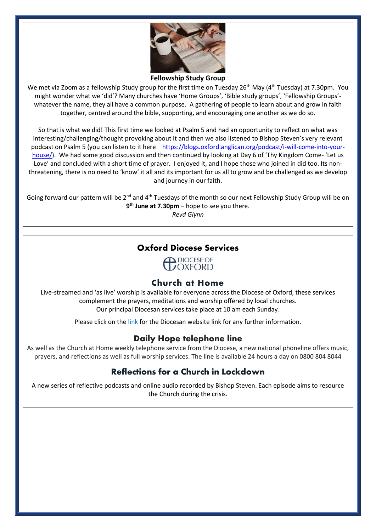

#### **Fellowship Study Group**

We met via Zoom as a fellowship Study group for the first time on Tuesday 26<sup>th</sup> May (4<sup>th</sup> Tuesday) at 7.30pm. You might wonder what we 'did'? Many churches have 'Home Groups', 'Bible study groups', 'Fellowship Groups' whatever the name, they all have a common purpose. A gathering of people to learn about and grow in faith together, centred around the bible, supporting, and encouraging one another as we do so.

So that is what we did! This first time we looked at Psalm 5 and had an opportunity to reflect on what was interesting/challenging/thought provoking about it and then we also listened to Bishop Steven's very relevant podcast on Psalm 5 (you can listen to it here [https://blogs.oxford.anglican.org/podcast/i-will-come-into-your](https://apc01.safelinks.protection.outlook.com/?url=https%3A%2F%2Fblogs.oxford.anglican.org%2Fpodcast%2Fi-will-come-into-your-house%2F&data=02%7C01%7C%7Ca25cdd8e28224aefb05708d802785bc6%7C84df9e7fe9f640afb435aaaaaaaaaaaa%7C1%7C0%7C637262063877642396&sdata=NV6Q0YfJqABGF0eC9bQFGHzMAfW%2Buw8lpjvogxIKQrY%3D&reserved=0)[house/\)](https://apc01.safelinks.protection.outlook.com/?url=https%3A%2F%2Fblogs.oxford.anglican.org%2Fpodcast%2Fi-will-come-into-your-house%2F&data=02%7C01%7C%7Ca25cdd8e28224aefb05708d802785bc6%7C84df9e7fe9f640afb435aaaaaaaaaaaa%7C1%7C0%7C637262063877642396&sdata=NV6Q0YfJqABGF0eC9bQFGHzMAfW%2Buw8lpjvogxIKQrY%3D&reserved=0). We had some good discussion and then continued by looking at Day 6 of 'Thy Kingdom Come-'Let us Love' and concluded with a short time of prayer. I enjoyed it, and I hope those who joined in did too. Its nonthreatening, there is no need to 'know' it all and its important for us all to grow and be challenged as we develop and journey in our faith.

Going forward our pattern will be 2<sup>nd</sup> and 4<sup>th</sup> Tuesdays of the month so our next Fellowship Study Group will be on **9 th June at 7.30pm** – hope to see you there.

*Revd Glynn*

#### Oxford Diocese Services

**COXFORD** 

#### Church at Home

Live-streamed and 'as live' worship is available for everyone across the Diocese of Oxford, these services complement the prayers, meditations and worship offered by local churches. Our principal Diocesan services take place at 10 am each Sunday.

Please click on the [link](https://www.oxford.anglican.org/coronavirus-covid-19/livestream/?utm_source=Diocese+of+Oxford+Mailing+Lists&utm_campaign=850c4f26e1-EMAIL_CAMPAIGN_2018_06_07_04_41_COPY_01&utm_medium=email&utm_term=0_5e6b832234-850c4f26e1-339828605) for the Diocesan website link for any further information.

### **Daily Hope telephone line**

As well as the Church at Home weekly telephone service from the Diocese, a new national phoneline offers music, prayers, and reflections as well as full worship services. The line is available 24 hours a day on 0800 804 8044

### **Reflections for a Church in Lockdown**

A new series of reflective podcasts and online audio recorded by Bishop Steven. Each episode aims to resource the Church during the crisis.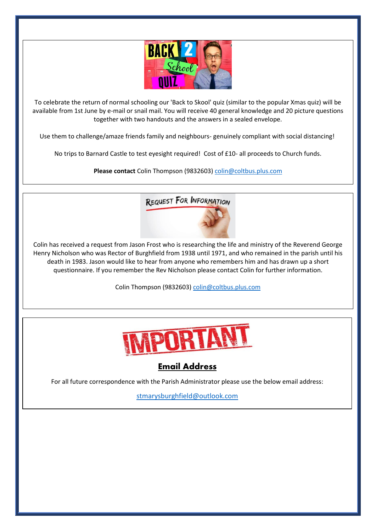

To celebrate the return of normal schooling our 'Back to Skool' quiz (similar to the popular Xmas quiz) will be available from 1st June by e-mail or snail mail. You will receive 40 general knowledge and 20 picture questions together with two handouts and the answers in a sealed envelope.

Use them to challenge/amaze friends family and neighbours- genuinely compliant with social distancing!

No trips to Barnard Castle to test eyesight required! Cost of £10- all proceeds to Church funds.

**Please contact** Colin Thompson (9832603) [colin@coltbus.plus.com](mailto:colin@coltbus.plus.com)



Colin has received a request from Jason Frost who is researching the life and ministry of the Reverend George Henry Nicholson who was Rector of Burghfield from 1938 until 1971, and who remained in the parish until his death in 1983. Jason would like to hear from anyone who remembers him and has drawn up a short questionnaire. If you remember the Rev Nicholson please contact Colin for further information.

Colin Thompson (9832603) [colin@coltbus.plus.com](mailto:colin@coltbus.plus.com)



## Email Address

For all future correspondence with the Parish Administrator please use the below email address:

[stmarysburghfield@outlook.com](mailto:stmarysburghfield@outlook.com)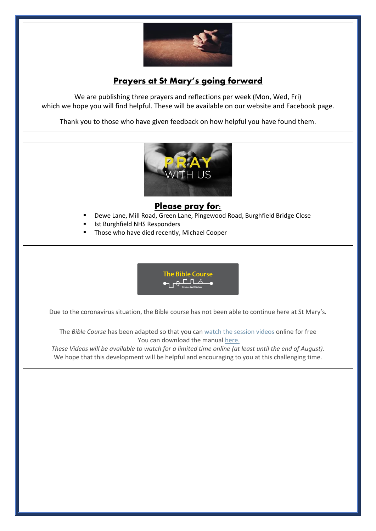

# **Prayers at St Mary's going forward**

We are publishing three prayers and reflections per week (Mon, Wed, Fri) which we hope you will find helpful. These will be available on our website and Facebook page.

Thank you to those who have given feedback on how helpful you have found them.



### Please pray for:

- Dewe Lane, Mill Road, Green Lane, Pingewood Road, Burghfield Bridge Close
- Ist Burghfield NHS Responders
- Those who have died recently, Michael Cooper



Due to the coronavirus situation, the Bible course has not been able to continue here at St Mary's.

The *Bible Course* has been adapted so that you can [watch the session videos](https://nam10.safelinks.protection.outlook.com/?url=https%3A%2F%2Fbiblesociety.cmail20.com%2Ft%2Fr-l-jhdukltd-ociikituu-y%2F&data=02%7C01%7C%7Cfd57895af51f4733569f08d7db934f7b%7C84df9e7fe9f640afb435aaaaaaaaaaaa%7C1%7C0%7C637219298040927676&sdata=0mtSFb%2FiBgKymiy5gKIQ5nx8eolQj7TI2g63ZPqCB%2BA%3D&reserved=0) online for free You can download the manual [here.](https://nam10.safelinks.protection.outlook.com/?url=https%3A%2F%2Fbiblesociety.cmail20.com%2Ft%2Fr-l-jhdukltd-ociikituu-j%2F&data=02%7C01%7C%7Cfd57895af51f4733569f08d7db934f7b%7C84df9e7fe9f640afb435aaaaaaaaaaaa%7C1%7C0%7C637219298040927676&sdata=WfKTIQ1j87TpMkYLpyuIsrDYJDsve9t8g3WHUIFTMdk%3D&reserved=0)

These Videos will be available to watch for a limited time online (at least until the end of August). We hope that this development will be helpful and encouraging to you at this challenging time.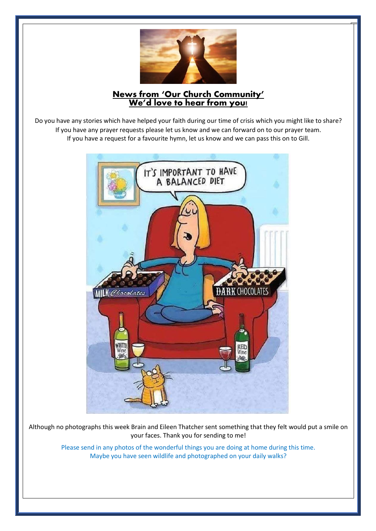

## **News from 'Our Church Community' We'd love to hear from you!**

Do you have any stories which have helped your faith during our time of crisis which you might like to share? If you have any prayer requests please let us know and we can forward on to our prayer team. If you have a request for a favourite hymn, let us know and we can pass this on to Gill.



Although no photographs this week Brain and Eileen Thatcher sent something that they felt would put a smile on your faces. Thank you for sending to me!

> Please send in any photos of the wonderful things you are doing at home during this time. Maybe you have seen wildlife and photographed on your daily walks?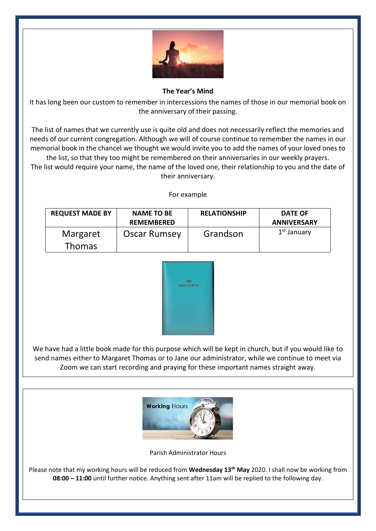

**The Year's Mind**

It has long been our custom to remember in intercessions the names of those in our memorial book on the anniversary of their passing.

The list of names that we currently use is quite old and does not necessarily reflect the memories and needs of our current congregation. Although we will of course continue to remember the names in our memorial book in the chancel we thought we would invite you to add the names of your loved ones to the list, so that they too might be remembered on their anniversaries in our weekly prayers.

The list would require your name, the name of the loved one, their relationship to you and the date of their anniversary.

For example

| <b>REQUEST MADE BY</b> | <b>NAME TO BE</b><br><b>REMEMBERED</b> | <b>RELATIONSHIP</b> | <b>DATE OF</b><br><b>ANNIVERSARY</b> |
|------------------------|----------------------------------------|---------------------|--------------------------------------|
| Margaret               | Oscar Rumsey                           | Grandson            | 1 <sup>st</sup> January              |
| <b>Thomas</b>          |                                        |                     |                                      |



We have had a little book made for this purpose which will be kept in church, but if you would like to send names either to Margaret Thomas or to Jane our administrator, while we continue to meet via Zoom we can start recording and praying for these important names straight away.



Parish Administrator Hours

Please note that my working hours will be reduced from **Wednesday 13th May** 2020. I shall now be working from **08:00 – 11:00** until further notice. Anything sent after 11am will be replied to the following day.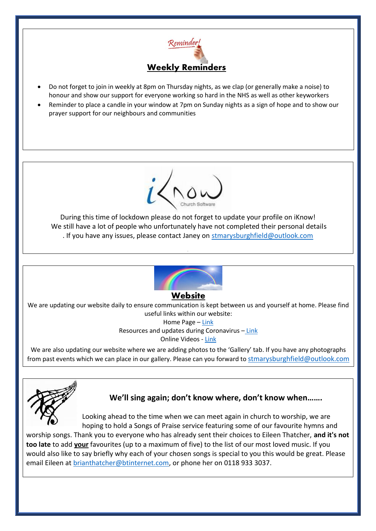

- Do not forget to join in weekly at 8pm on Thursday nights, as we clap (or generally make a noise) to honour and show our support for everyone working so hard in the NHS as well as other keyworkers
- Reminder to place a candle in your window at 7pm on Sunday nights as a sign of hope and to show our prayer support for our neighbours and communities



During this time of lockdown please do not forget to update your profile on iKnow! We still have a lot of people who unfortunately have not completed their personal details . If you have any issues, please contact Janey on [stmarysburghfield@outlook.com](mailto:stmarysburghfield@outlook.com)



#### Website

We are updating our website daily to ensure communication is kept between us and yourself at home. Please find useful links within our website:

Home Page – [Link](http://stmarysburghfield.org/) Resources and updates during Coronavirus – [Link](http://stmarysburghfield.org/coronavirus/?LMCL=szDa6I) Online Videos - [Link](http://stmarysburghfield.org/virus-links/)

We are also updating our website where we are adding photos to the 'Gallery' tab. If you have any photographs from past events which we can place in our gallery. Please can you forward to [stmarysburghfield@outlook.com](mailto:stmarysburghfield@outlook.com)



## **We'll sing again; don't know where, don't know when…….**

Looking ahead to the time when we can meet again in church to worship, we are hoping to hold a Songs of Praise service featuring some of our favourite hymns and

worship songs. Thank you to everyone who has already sent their choices to Eileen Thatcher, **and it's not too late** to add **your** favourites (up to a maximum of five) to the list of our most loved music. If you would also like to say briefly why each of your chosen songs is special to you this would be great. Please email Eileen at [brianthatcher@btinternet.com,](mailto:brianthatcher@btinternet.com) or phone her on 0118 933 3037.